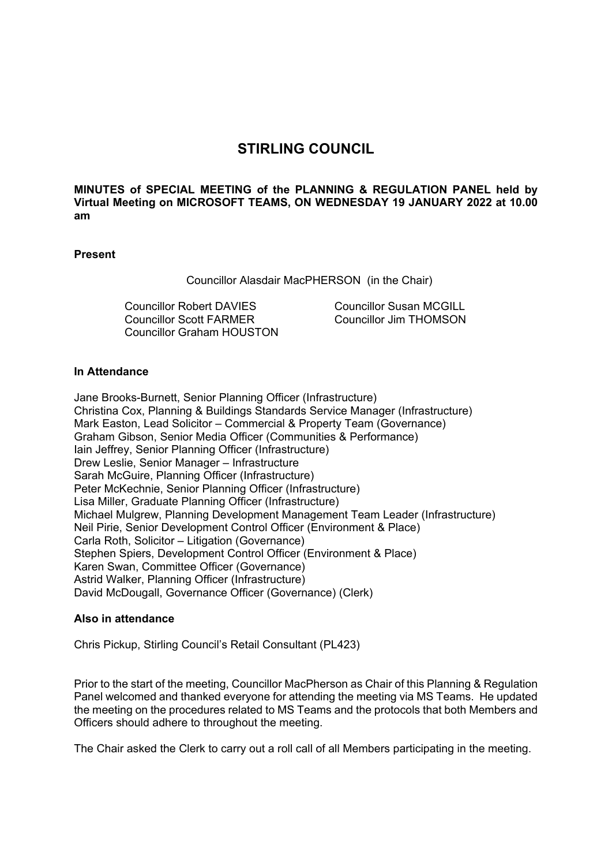# **STIRLING COUNCIL**

**MINUTES of SPECIAL MEETING of the PLANNING & REGULATION PANEL held by Virtual Meeting on MICROSOFT TEAMS, ON WEDNESDAY 19 JANUARY 2022 at 10.00 am** 

# **Present**

Councillor Alasdair MacPHERSON (in the Chair)

Councillor Robert DAVIES Councillor Scott FARMER Councillor Graham HOUSTON Councillor Susan MCGILL Councillor Jim THOMSON

### **In Attendance**

Jane Brooks-Burnett, Senior Planning Officer (Infrastructure) Christina Cox, Planning & Buildings Standards Service Manager (Infrastructure) Mark Easton, Lead Solicitor – Commercial & Property Team (Governance) Graham Gibson, Senior Media Officer (Communities & Performance) Iain Jeffrey, Senior Planning Officer (Infrastructure) Drew Leslie, Senior Manager – Infrastructure Sarah McGuire, Planning Officer (Infrastructure) Peter McKechnie, Senior Planning Officer (Infrastructure) Lisa Miller, Graduate Planning Officer (Infrastructure) Michael Mulgrew, Planning Development Management Team Leader (Infrastructure) Neil Pirie, Senior Development Control Officer (Environment & Place) Carla Roth, Solicitor – Litigation (Governance) Stephen Spiers, Development Control Officer (Environment & Place) Karen Swan, Committee Officer (Governance) Astrid Walker, Planning Officer (Infrastructure) David McDougall, Governance Officer (Governance) (Clerk)

#### **Also in attendance**

Chris Pickup, Stirling Council's Retail Consultant (PL423)

Prior to the start of the meeting, Councillor MacPherson as Chair of this Planning & Regulation Panel welcomed and thanked everyone for attending the meeting via MS Teams. He updated the meeting on the procedures related to MS Teams and the protocols that both Members and Officers should adhere to throughout the meeting.

The Chair asked the Clerk to carry out a roll call of all Members participating in the meeting.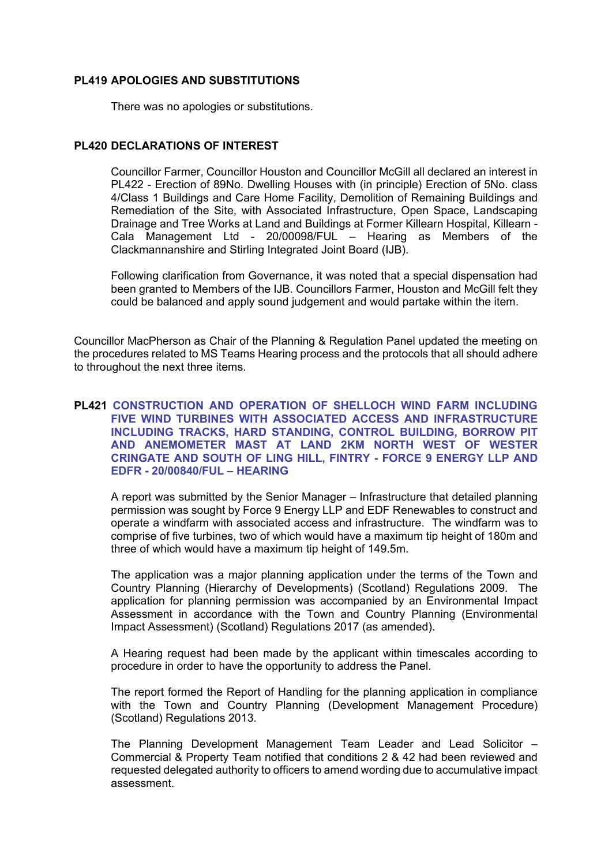# **PL419 APOLOGIES AND SUBSTITUTIONS**

There was no apologies or substitutions.

# **PL420 DECLARATIONS OF INTEREST**

Councillor Farmer, Councillor Houston and Councillor McGill all declared an interest in PL422 - Erection of 89No. Dwelling Houses with (in principle) Erection of 5No. class 4/Class 1 Buildings and Care Home Facility, Demolition of Remaining Buildings and Remediation of the Site, with Associated Infrastructure, Open Space, Landscaping Drainage and Tree Works at Land and Buildings at Former Killearn Hospital, Killearn - Cala Management Ltd - 20/00098/FUL – Hearing as Members of the Clackmannanshire and Stirling Integrated Joint Board (IJB).

Following clarification from Governance, it was noted that a special dispensation had been granted to Members of the IJB. Councillors Farmer, Houston and McGill felt they could be balanced and apply sound judgement and would partake within the item.

Councillor MacPherson as Chair of the Planning & Regulation Panel updated the meeting on the procedures related to MS Teams Hearing process and the protocols that all should adhere to throughout the next three items.

# **PL421 CONSTRUCTION AND OPERATION OF SHELLOCH WIND FARM INCLUDING FIVE WIND TURBINES WITH ASSOCIATED ACCESS AND INFRASTRUCTURE INCLUDING TRACKS, HARD STANDING, CONTROL BUILDING, BORROW PIT AND ANEMOMETER MAST AT LAND 2KM NORTH WEST OF WESTER CRINGATE AND SOUTH OF LING HILL, FINTRY - FORCE 9 ENERGY LLP AND EDFR - 20/00840/FUL – HEARING**

A report was submitted by the Senior Manager – Infrastructure that detailed planning permission was sought by Force 9 Energy LLP and EDF Renewables to construct and operate a windfarm with associated access and infrastructure. The windfarm was to comprise of five turbines, two of which would have a maximum tip height of 180m and three of which would have a maximum tip height of 149.5m.

The application was a major planning application under the terms of the Town and Country Planning (Hierarchy of Developments) (Scotland) Regulations 2009. The application for planning permission was accompanied by an Environmental Impact Assessment in accordance with the Town and Country Planning (Environmental Impact Assessment) (Scotland) Regulations 2017 (as amended).

A Hearing request had been made by the applicant within timescales according to procedure in order to have the opportunity to address the Panel.

The report formed the Report of Handling for the planning application in compliance with the Town and Country Planning (Development Management Procedure) (Scotland) Regulations 2013.

The Planning Development Management Team Leader and Lead Solicitor – Commercial & Property Team notified that conditions 2 & 42 had been reviewed and requested delegated authority to officers to amend wording due to accumulative impact assessment.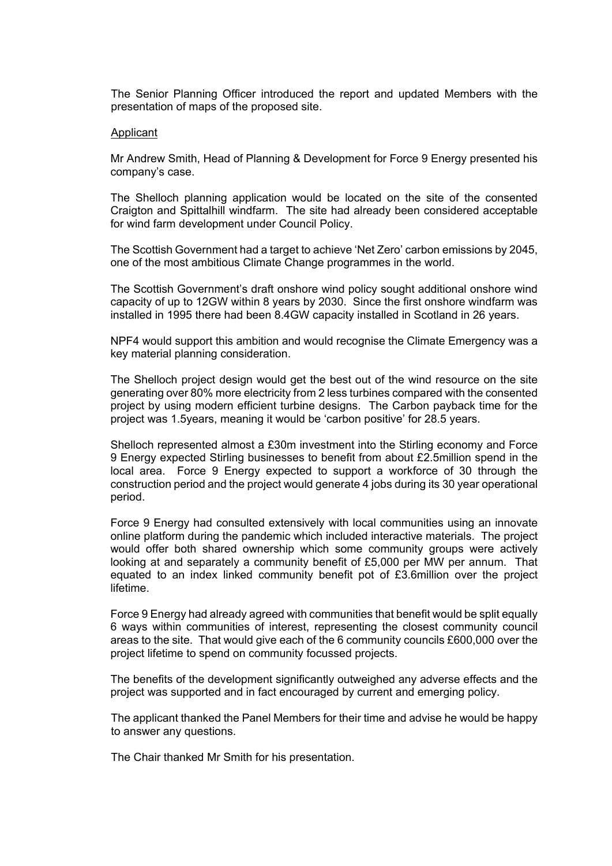The Senior Planning Officer introduced the report and updated Members with the presentation of maps of the proposed site.

### Applicant

Mr Andrew Smith, Head of Planning & Development for Force 9 Energy presented his company's case.

The Shelloch planning application would be located on the site of the consented Craigton and Spittalhill windfarm. The site had already been considered acceptable for wind farm development under Council Policy.

The Scottish Government had a target to achieve 'Net Zero' carbon emissions by 2045, one of the most ambitious Climate Change programmes in the world.

The Scottish Government's draft onshore wind policy sought additional onshore wind capacity of up to 12GW within 8 years by 2030. Since the first onshore windfarm was installed in 1995 there had been 8.4GW capacity installed in Scotland in 26 years.

NPF4 would support this ambition and would recognise the Climate Emergency was a key material planning consideration.

The Shelloch project design would get the best out of the wind resource on the site generating over 80% more electricity from 2 less turbines compared with the consented project by using modern efficient turbine designs. The Carbon payback time for the project was 1.5years, meaning it would be 'carbon positive' for 28.5 years.

Shelloch represented almost a £30m investment into the Stirling economy and Force 9 Energy expected Stirling businesses to benefit from about £2.5million spend in the local area. Force 9 Energy expected to support a workforce of 30 through the construction period and the project would generate 4 jobs during its 30 year operational period.

Force 9 Energy had consulted extensively with local communities using an innovate online platform during the pandemic which included interactive materials. The project would offer both shared ownership which some community groups were actively looking at and separately a community benefit of £5,000 per MW per annum. That equated to an index linked community benefit pot of £3.6million over the project lifetime.

Force 9 Energy had already agreed with communities that benefit would be split equally 6 ways within communities of interest, representing the closest community council areas to the site. That would give each of the 6 community councils £600,000 over the project lifetime to spend on community focussed projects.

The benefits of the development significantly outweighed any adverse effects and the project was supported and in fact encouraged by current and emerging policy.

The applicant thanked the Panel Members for their time and advise he would be happy to answer any questions.

The Chair thanked Mr Smith for his presentation.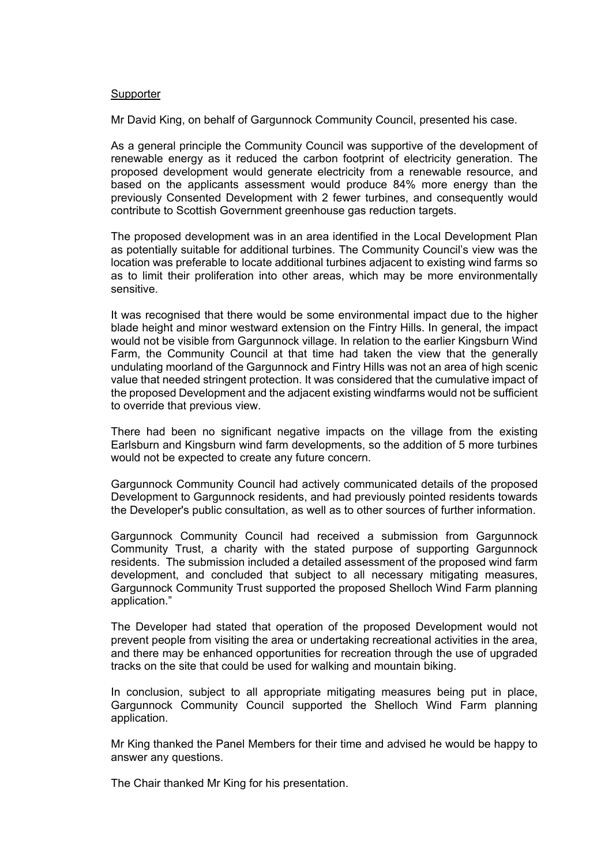# **Supporter**

Mr David King, on behalf of Gargunnock Community Council, presented his case.

As a general principle the Community Council was supportive of the development of renewable energy as it reduced the carbon footprint of electricity generation. The proposed development would generate electricity from a renewable resource, and based on the applicants assessment would produce 84% more energy than the previously Consented Development with 2 fewer turbines, and consequently would contribute to Scottish Government greenhouse gas reduction targets.

The proposed development was in an area identified in the Local Development Plan as potentially suitable for additional turbines. The Community Council's view was the location was preferable to locate additional turbines adjacent to existing wind farms so as to limit their proliferation into other areas, which may be more environmentally sensitive.

It was recognised that there would be some environmental impact due to the higher blade height and minor westward extension on the Fintry Hills. In general, the impact would not be visible from Gargunnock village. In relation to the earlier Kingsburn Wind Farm, the Community Council at that time had taken the view that the generally undulating moorland of the Gargunnock and Fintry Hills was not an area of high scenic value that needed stringent protection. It was considered that the cumulative impact of the proposed Development and the adjacent existing windfarms would not be sufficient to override that previous view.

There had been no significant negative impacts on the village from the existing Earlsburn and Kingsburn wind farm developments, so the addition of 5 more turbines would not be expected to create any future concern.

Gargunnock Community Council had actively communicated details of the proposed Development to Gargunnock residents, and had previously pointed residents towards the Developer's public consultation, as well as to other sources of further information.

Gargunnock Community Council had received a submission from Gargunnock Community Trust, a charity with the stated purpose of supporting Gargunnock residents. The submission included a detailed assessment of the proposed wind farm development, and concluded that subject to all necessary mitigating measures, Gargunnock Community Trust supported the proposed Shelloch Wind Farm planning application."

The Developer had stated that operation of the proposed Development would not prevent people from visiting the area or undertaking recreational activities in the area, and there may be enhanced opportunities for recreation through the use of upgraded tracks on the site that could be used for walking and mountain biking.

In conclusion, subject to all appropriate mitigating measures being put in place, Gargunnock Community Council supported the Shelloch Wind Farm planning application.

Mr King thanked the Panel Members for their time and advised he would be happy to answer any questions.

The Chair thanked Mr King for his presentation.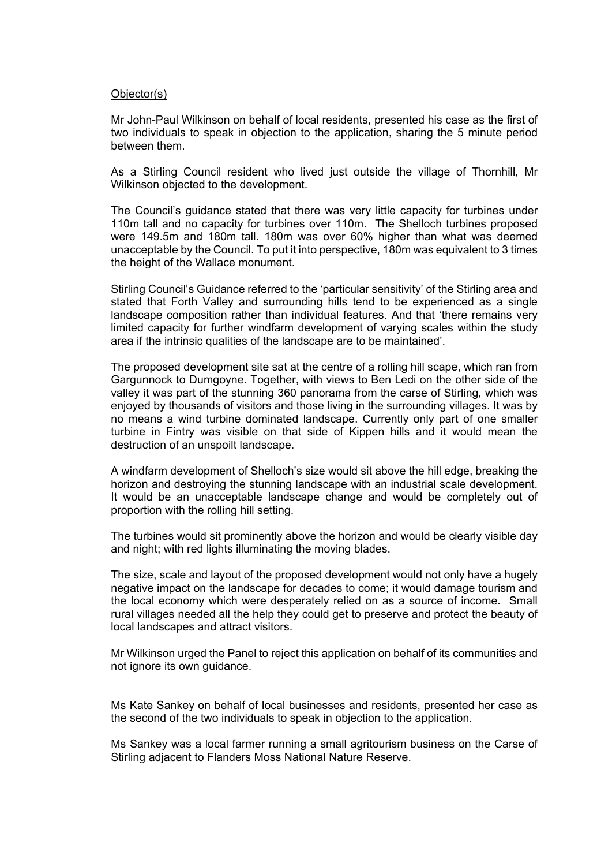# Objector(s)

Mr John-Paul Wilkinson on behalf of local residents, presented his case as the first of two individuals to speak in objection to the application, sharing the 5 minute period between them.

As a Stirling Council resident who lived just outside the village of Thornhill, Mr Wilkinson objected to the development.

The Council's guidance stated that there was very little capacity for turbines under 110m tall and no capacity for turbines over 110m. The Shelloch turbines proposed were 149.5m and 180m tall. 180m was over 60% higher than what was deemed unacceptable by the Council. To put it into perspective, 180m was equivalent to 3 times the height of the Wallace monument.

Stirling Council's Guidance referred to the 'particular sensitivity' of the Stirling area and stated that Forth Valley and surrounding hills tend to be experienced as a single landscape composition rather than individual features. And that 'there remains very limited capacity for further windfarm development of varying scales within the study area if the intrinsic qualities of the landscape are to be maintained'.

The proposed development site sat at the centre of a rolling hill scape, which ran from Gargunnock to Dumgoyne. Together, with views to Ben Ledi on the other side of the valley it was part of the stunning 360 panorama from the carse of Stirling, which was enjoyed by thousands of visitors and those living in the surrounding villages. It was by no means a wind turbine dominated landscape. Currently only part of one smaller turbine in Fintry was visible on that side of Kippen hills and it would mean the destruction of an unspoilt landscape.

A windfarm development of Shelloch's size would sit above the hill edge, breaking the horizon and destroying the stunning landscape with an industrial scale development. It would be an unacceptable landscape change and would be completely out of proportion with the rolling hill setting.

The turbines would sit prominently above the horizon and would be clearly visible day and night; with red lights illuminating the moving blades.

The size, scale and layout of the proposed development would not only have a hugely negative impact on the landscape for decades to come; it would damage tourism and the local economy which were desperately relied on as a source of income. Small rural villages needed all the help they could get to preserve and protect the beauty of local landscapes and attract visitors.

Mr Wilkinson urged the Panel to reject this application on behalf of its communities and not ignore its own guidance.

Ms Kate Sankey on behalf of local businesses and residents, presented her case as the second of the two individuals to speak in objection to the application.

Ms Sankey was a local farmer running a small agritourism business on the Carse of Stirling adjacent to Flanders Moss National Nature Reserve.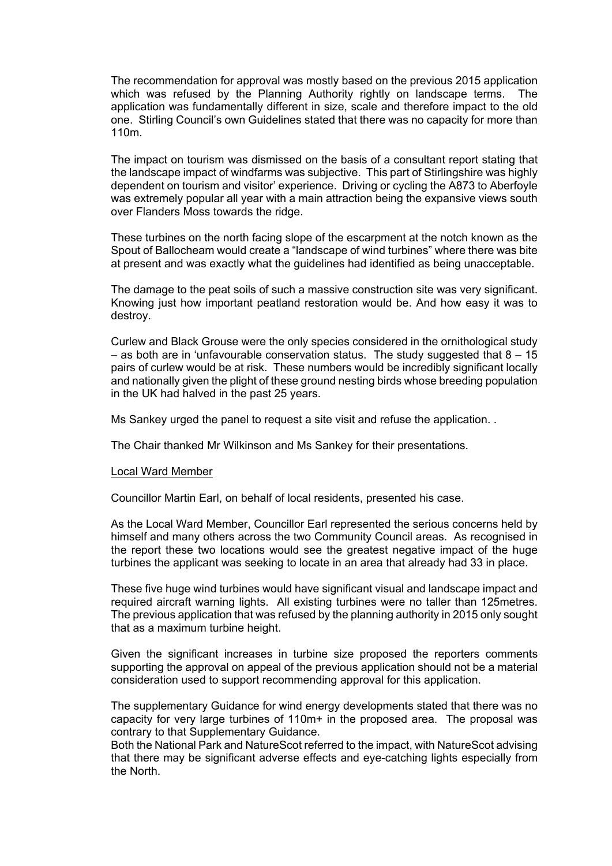The recommendation for approval was mostly based on the previous 2015 application which was refused by the Planning Authority rightly on landscape terms. The application was fundamentally different in size, scale and therefore impact to the old one. Stirling Council's own Guidelines stated that there was no capacity for more than 110m.

The impact on tourism was dismissed on the basis of a consultant report stating that the landscape impact of windfarms was subjective. This part of Stirlingshire was highly dependent on tourism and visitor' experience. Driving or cycling the A873 to Aberfoyle was extremely popular all year with a main attraction being the expansive views south over Flanders Moss towards the ridge.

These turbines on the north facing slope of the escarpment at the notch known as the Spout of Ballocheam would create a "landscape of wind turbines" where there was bite at present and was exactly what the guidelines had identified as being unacceptable.

The damage to the peat soils of such a massive construction site was very significant. Knowing just how important peatland restoration would be. And how easy it was to destroy.

Curlew and Black Grouse were the only species considered in the ornithological study  $-$  as both are in 'unfavourable conservation status. The study suggested that  $8 - 15$ pairs of curlew would be at risk. These numbers would be incredibly significant locally and nationally given the plight of these ground nesting birds whose breeding population in the UK had halved in the past 25 years.

Ms Sankey urged the panel to request a site visit and refuse the application. .

The Chair thanked Mr Wilkinson and Ms Sankey for their presentations.

#### Local Ward Member

Councillor Martin Earl, on behalf of local residents, presented his case.

As the Local Ward Member, Councillor Earl represented the serious concerns held by himself and many others across the two Community Council areas. As recognised in the report these two locations would see the greatest negative impact of the huge turbines the applicant was seeking to locate in an area that already had 33 in place.

These five huge wind turbines would have significant visual and landscape impact and required aircraft warning lights. All existing turbines were no taller than 125metres. The previous application that was refused by the planning authority in 2015 only sought that as a maximum turbine height.

Given the significant increases in turbine size proposed the reporters comments supporting the approval on appeal of the previous application should not be a material consideration used to support recommending approval for this application.

The supplementary Guidance for wind energy developments stated that there was no capacity for very large turbines of 110m+ in the proposed area. The proposal was contrary to that Supplementary Guidance.

Both the National Park and NatureScot referred to the impact, with NatureScot advising that there may be significant adverse effects and eye-catching lights especially from the North.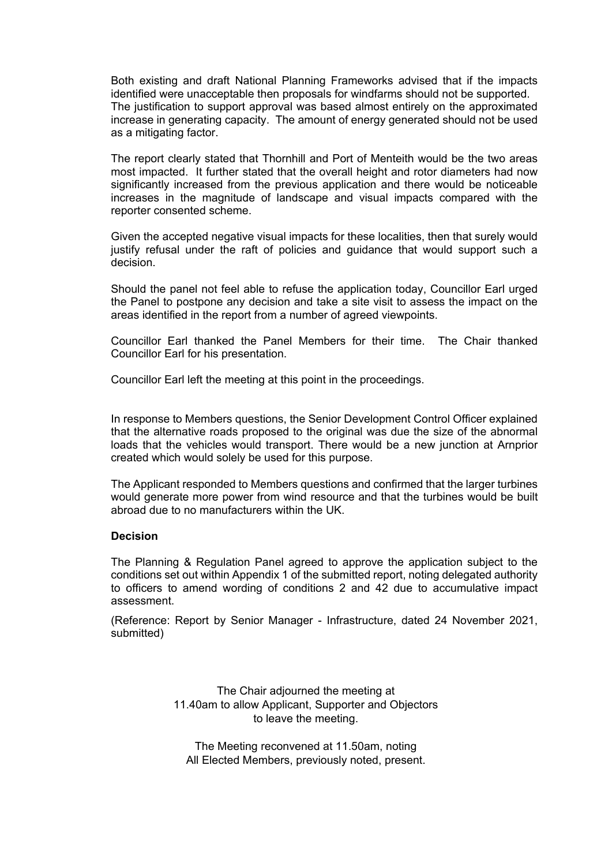Both existing and draft National Planning Frameworks advised that if the impacts identified were unacceptable then proposals for windfarms should not be supported. The justification to support approval was based almost entirely on the approximated increase in generating capacity. The amount of energy generated should not be used as a mitigating factor.

The report clearly stated that Thornhill and Port of Menteith would be the two areas most impacted. It further stated that the overall height and rotor diameters had now significantly increased from the previous application and there would be noticeable increases in the magnitude of landscape and visual impacts compared with the reporter consented scheme.

Given the accepted negative visual impacts for these localities, then that surely would justify refusal under the raft of policies and guidance that would support such a decision.

Should the panel not feel able to refuse the application today, Councillor Earl urged the Panel to postpone any decision and take a site visit to assess the impact on the areas identified in the report from a number of agreed viewpoints.

Councillor Earl thanked the Panel Members for their time. The Chair thanked Councillor Earl for his presentation.

Councillor Earl left the meeting at this point in the proceedings.

In response to Members questions, the Senior Development Control Officer explained that the alternative roads proposed to the original was due the size of the abnormal loads that the vehicles would transport. There would be a new junction at Arnprior created which would solely be used for this purpose.

The Applicant responded to Members questions and confirmed that the larger turbines would generate more power from wind resource and that the turbines would be built abroad due to no manufacturers within the UK.

# **Decision**

The Planning & Regulation Panel agreed to approve the application subject to the conditions set out within Appendix 1 of the submitted report, noting delegated authority to officers to amend wording of conditions 2 and 42 due to accumulative impact assessment.

(Reference: Report by Senior Manager - Infrastructure, dated 24 November 2021, submitted)

> The Chair adjourned the meeting at 11.40am to allow Applicant, Supporter and Objectors to leave the meeting.

The Meeting reconvened at 11.50am, noting All Elected Members, previously noted, present.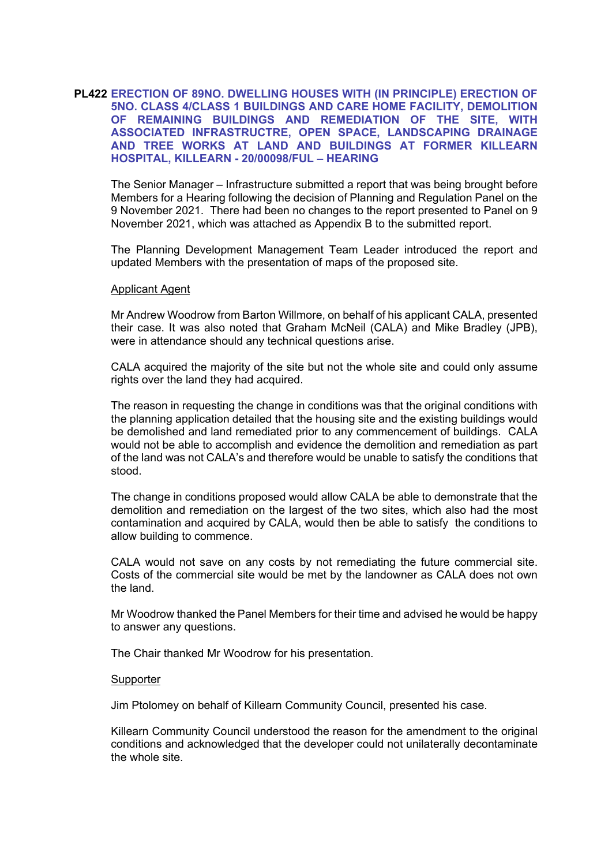# **PL422 ERECTION OF 89NO. DWELLING HOUSES WITH (IN PRINCIPLE) ERECTION OF 5NO. CLASS 4/CLASS 1 BUILDINGS AND CARE HOME FACILITY, DEMOLITION OF REMAINING BUILDINGS AND REMEDIATION OF THE SITE, WITH ASSOCIATED INFRASTRUCTRE, OPEN SPACE, LANDSCAPING DRAINAGE AND TREE WORKS AT LAND AND BUILDINGS AT FORMER KILLEARN HOSPITAL, KILLEARN - 20/00098/FUL – HEARING**

The Senior Manager – Infrastructure submitted a report that was being brought before Members for a Hearing following the decision of Planning and Regulation Panel on the 9 November 2021. There had been no changes to the report presented to Panel on 9 November 2021, which was attached as Appendix B to the submitted report.

The Planning Development Management Team Leader introduced the report and updated Members with the presentation of maps of the proposed site.

### Applicant Agent

Mr Andrew Woodrow from Barton Willmore, on behalf of his applicant CALA, presented their case. It was also noted that Graham McNeil (CALA) and Mike Bradley (JPB), were in attendance should any technical questions arise.

CALA acquired the majority of the site but not the whole site and could only assume rights over the land they had acquired.

The reason in requesting the change in conditions was that the original conditions with the planning application detailed that the housing site and the existing buildings would be demolished and land remediated prior to any commencement of buildings. CALA would not be able to accomplish and evidence the demolition and remediation as part of the land was not CALA's and therefore would be unable to satisfy the conditions that stood.

The change in conditions proposed would allow CALA be able to demonstrate that the demolition and remediation on the largest of the two sites, which also had the most contamination and acquired by CALA, would then be able to satisfy the conditions to allow building to commence.

CALA would not save on any costs by not remediating the future commercial site. Costs of the commercial site would be met by the landowner as CALA does not own the land.

Mr Woodrow thanked the Panel Members for their time and advised he would be happy to answer any questions.

The Chair thanked Mr Woodrow for his presentation.

#### Supporter

Jim Ptolomey on behalf of Killearn Community Council, presented his case.

Killearn Community Council understood the reason for the amendment to the original conditions and acknowledged that the developer could not unilaterally decontaminate the whole site.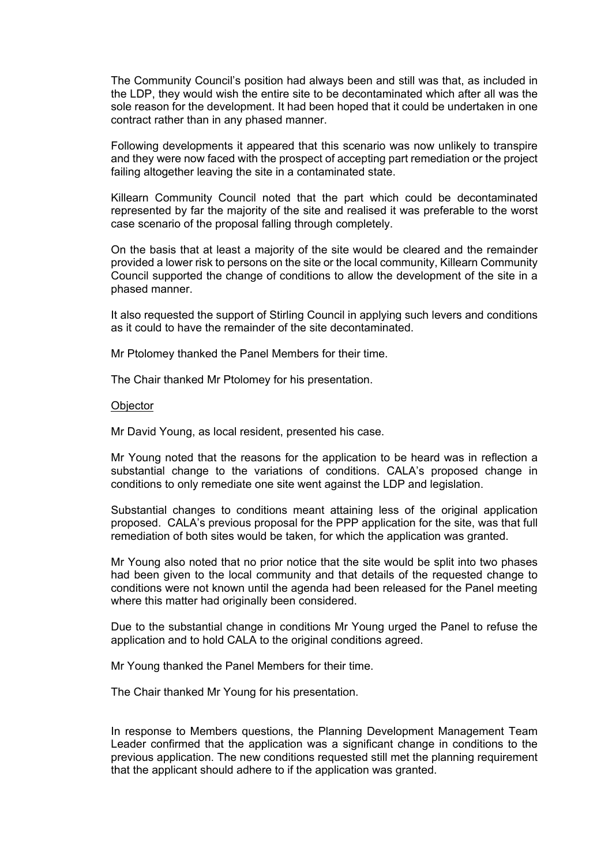The Community Council's position had always been and still was that, as included in the LDP, they would wish the entire site to be decontaminated which after all was the sole reason for the development. It had been hoped that it could be undertaken in one contract rather than in any phased manner.

Following developments it appeared that this scenario was now unlikely to transpire and they were now faced with the prospect of accepting part remediation or the project failing altogether leaving the site in a contaminated state.

Killearn Community Council noted that the part which could be decontaminated represented by far the majority of the site and realised it was preferable to the worst case scenario of the proposal falling through completely.

On the basis that at least a majority of the site would be cleared and the remainder provided a lower risk to persons on the site or the local community, Killearn Community Council supported the change of conditions to allow the development of the site in a phased manner.

It also requested the support of Stirling Council in applying such levers and conditions as it could to have the remainder of the site decontaminated.

Mr Ptolomey thanked the Panel Members for their time.

The Chair thanked Mr Ptolomey for his presentation.

### **Objector**

Mr David Young, as local resident, presented his case.

Mr Young noted that the reasons for the application to be heard was in reflection a substantial change to the variations of conditions. CALA's proposed change in conditions to only remediate one site went against the LDP and legislation.

Substantial changes to conditions meant attaining less of the original application proposed. CALA's previous proposal for the PPP application for the site, was that full remediation of both sites would be taken, for which the application was granted.

Mr Young also noted that no prior notice that the site would be split into two phases had been given to the local community and that details of the requested change to conditions were not known until the agenda had been released for the Panel meeting where this matter had originally been considered.

Due to the substantial change in conditions Mr Young urged the Panel to refuse the application and to hold CALA to the original conditions agreed.

Mr Young thanked the Panel Members for their time.

The Chair thanked Mr Young for his presentation.

In response to Members questions, the Planning Development Management Team Leader confirmed that the application was a significant change in conditions to the previous application. The new conditions requested still met the planning requirement that the applicant should adhere to if the application was granted.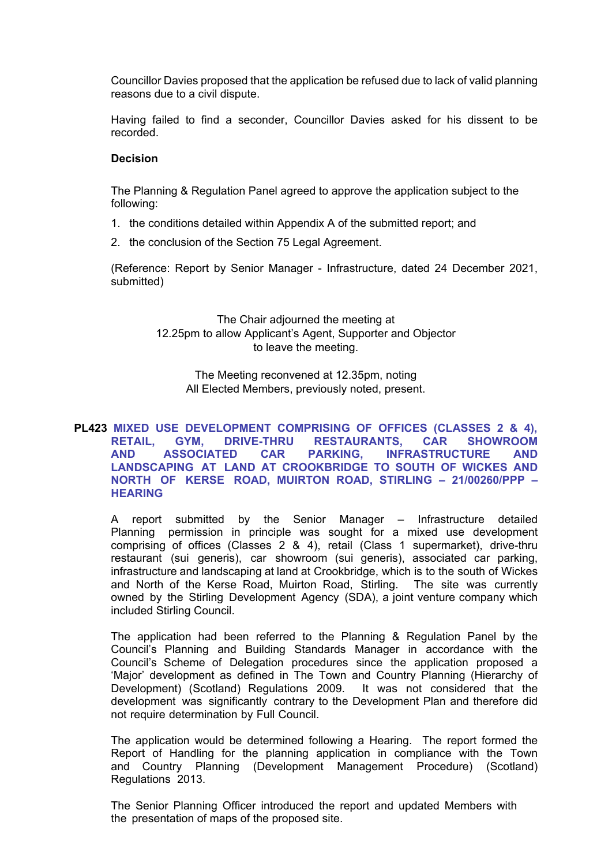Councillor Davies proposed that the application be refused due to lack of valid planning reasons due to a civil dispute.

Having failed to find a seconder, Councillor Davies asked for his dissent to be recorded.

# **Decision**

The Planning & Regulation Panel agreed to approve the application subject to the following:

- 1. the conditions detailed within Appendix A of the submitted report; and
- 2. the conclusion of the Section 75 Legal Agreement.

(Reference: Report by Senior Manager - Infrastructure, dated 24 December 2021, submitted)

> The Chair adjourned the meeting at 12.25pm to allow Applicant's Agent, Supporter and Objector to leave the meeting.

The Meeting reconvened at 12.35pm, noting All Elected Members, previously noted, present.

# **PL423 MIXED USE DEVELOPMENT COMPRISING OF OFFICES (CLASSES 2 & 4), RETAIL, GYM, DRIVE-THRU RESTAURANTS, CAR SHOWROOM AND ASSOCIATED CAR PARKING, INFRASTRUCTURE AND LANDSCAPING AT LAND AT CROOKBRIDGE TO SOUTH OF WICKES AND NORTH OF KERSE ROAD, MUIRTON ROAD, STIRLING – 21/00260/PPP – HEARING**

A report submitted by the Senior Manager – Infrastructure detailed Planning permission in principle was sought for a mixed use development comprising of offices (Classes 2 & 4), retail (Class 1 supermarket), drive-thru restaurant (sui generis), car showroom (sui generis), associated car parking, infrastructure and landscaping at land at Crookbridge, which is to the south of Wickes and North of the Kerse Road, Muirton Road, Stirling. The site was currently owned by the Stirling Development Agency (SDA), a joint venture company which included Stirling Council.

The application had been referred to the Planning & Regulation Panel by the Council's Planning and Building Standards Manager in accordance with the Council's Scheme of Delegation procedures since the application proposed a 'Major' development as defined in The Town and Country Planning (Hierarchy of Development) (Scotland) Regulations 2009. It was not considered that the development was significantly contrary to the Development Plan and therefore did not require determination by Full Council.

The application would be determined following a Hearing. The report formed the Report of Handling for the planning application in compliance with the Town and Country Planning (Development Management Procedure) (Scotland) Regulations 2013.

The Senior Planning Officer introduced the report and updated Members with the presentation of maps of the proposed site.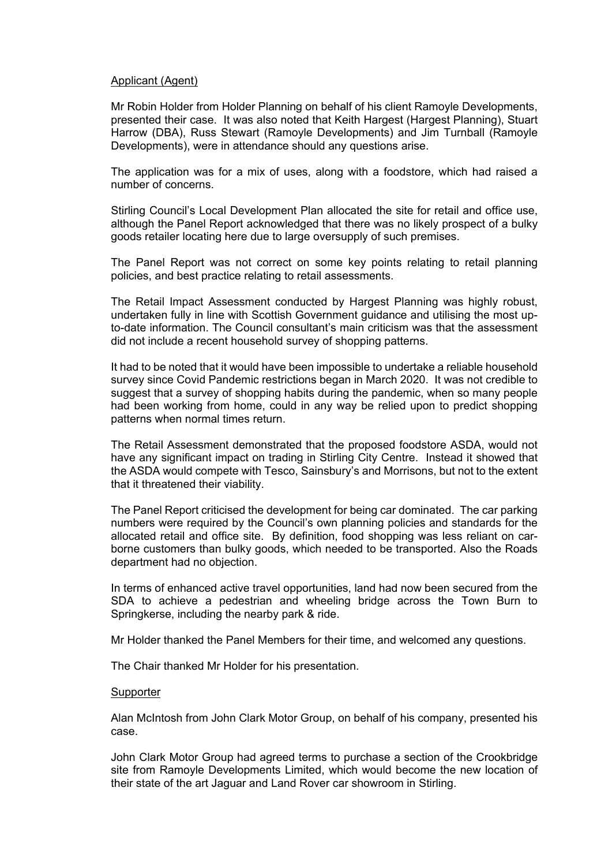### Applicant (Agent)

Mr Robin Holder from Holder Planning on behalf of his client Ramoyle Developments, presented their case. It was also noted that Keith Hargest (Hargest Planning), Stuart Harrow (DBA), Russ Stewart (Ramoyle Developments) and Jim Turnball (Ramoyle Developments), were in attendance should any questions arise.

The application was for a mix of uses, along with a foodstore, which had raised a number of concerns.

Stirling Council's Local Development Plan allocated the site for retail and office use, although the Panel Report acknowledged that there was no likely prospect of a bulky goods retailer locating here due to large oversupply of such premises.

The Panel Report was not correct on some key points relating to retail planning policies, and best practice relating to retail assessments.

The Retail Impact Assessment conducted by Hargest Planning was highly robust, undertaken fully in line with Scottish Government guidance and utilising the most upto-date information. The Council consultant's main criticism was that the assessment did not include a recent household survey of shopping patterns.

It had to be noted that it would have been impossible to undertake a reliable household survey since Covid Pandemic restrictions began in March 2020. It was not credible to suggest that a survey of shopping habits during the pandemic, when so many people had been working from home, could in any way be relied upon to predict shopping patterns when normal times return.

The Retail Assessment demonstrated that the proposed foodstore ASDA, would not have any significant impact on trading in Stirling City Centre. Instead it showed that the ASDA would compete with Tesco, Sainsbury's and Morrisons, but not to the extent that it threatened their viability.

The Panel Report criticised the development for being car dominated. The car parking numbers were required by the Council's own planning policies and standards for the allocated retail and office site. By definition, food shopping was less reliant on carborne customers than bulky goods, which needed to be transported. Also the Roads department had no objection.

In terms of enhanced active travel opportunities, land had now been secured from the SDA to achieve a pedestrian and wheeling bridge across the Town Burn to Springkerse, including the nearby park & ride.

Mr Holder thanked the Panel Members for their time, and welcomed any questions.

The Chair thanked Mr Holder for his presentation.

#### Supporter

Alan McIntosh from John Clark Motor Group, on behalf of his company, presented his case.

John Clark Motor Group had agreed terms to purchase a section of the Crookbridge site from Ramoyle Developments Limited, which would become the new location of their state of the art Jaguar and Land Rover car showroom in Stirling.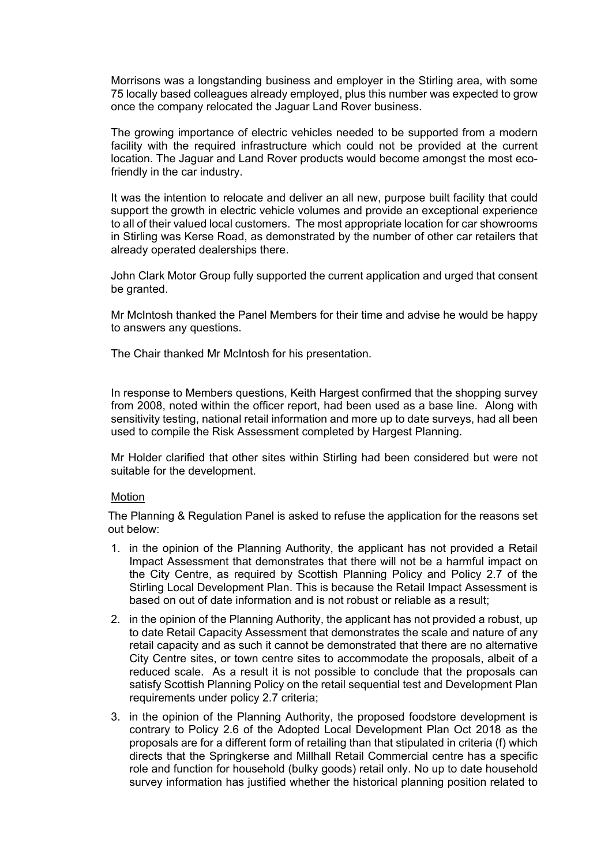Morrisons was a longstanding business and employer in the Stirling area, with some 75 locally based colleagues already employed, plus this number was expected to grow once the company relocated the Jaguar Land Rover business.

The growing importance of electric vehicles needed to be supported from a modern facility with the required infrastructure which could not be provided at the current location. The Jaguar and Land Rover products would become amongst the most ecofriendly in the car industry.

It was the intention to relocate and deliver an all new, purpose built facility that could support the growth in electric vehicle volumes and provide an exceptional experience to all of their valued local customers. The most appropriate location for car showrooms in Stirling was Kerse Road, as demonstrated by the number of other car retailers that already operated dealerships there.

John Clark Motor Group fully supported the current application and urged that consent be granted.

Mr McIntosh thanked the Panel Members for their time and advise he would be happy to answers any questions.

The Chair thanked Mr McIntosh for his presentation.

In response to Members questions, Keith Hargest confirmed that the shopping survey from 2008, noted within the officer report, had been used as a base line. Along with sensitivity testing, national retail information and more up to date surveys, had all been used to compile the Risk Assessment completed by Hargest Planning.

Mr Holder clarified that other sites within Stirling had been considered but were not suitable for the development.

#### Motion

The Planning & Regulation Panel is asked to refuse the application for the reasons set out below:

- 1. in the opinion of the Planning Authority, the applicant has not provided a Retail Impact Assessment that demonstrates that there will not be a harmful impact on the City Centre, as required by Scottish Planning Policy and Policy 2.7 of the Stirling Local Development Plan. This is because the Retail Impact Assessment is based on out of date information and is not robust or reliable as a result;
- 2. in the opinion of the Planning Authority, the applicant has not provided a robust, up to date Retail Capacity Assessment that demonstrates the scale and nature of any retail capacity and as such it cannot be demonstrated that there are no alternative City Centre sites, or town centre sites to accommodate the proposals, albeit of a reduced scale. As a result it is not possible to conclude that the proposals can satisfy Scottish Planning Policy on the retail sequential test and Development Plan requirements under policy 2.7 criteria;
- 3. in the opinion of the Planning Authority, the proposed foodstore development is contrary to Policy 2.6 of the Adopted Local Development Plan Oct 2018 as the proposals are for a different form of retailing than that stipulated in criteria (f) which directs that the Springkerse and Millhall Retail Commercial centre has a specific role and function for household (bulky goods) retail only. No up to date household survey information has justified whether the historical planning position related to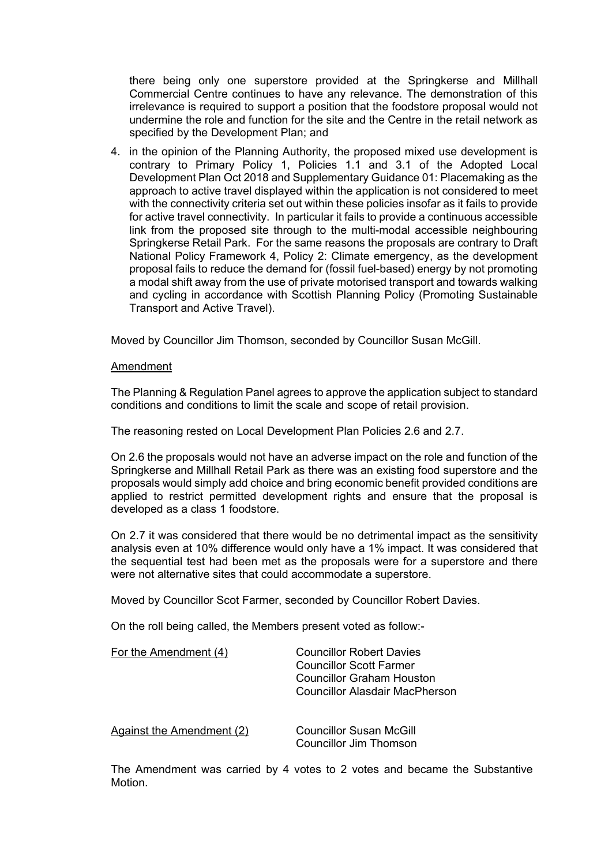there being only one superstore provided at the Springkerse and Millhall Commercial Centre continues to have any relevance. The demonstration of this irrelevance is required to support a position that the foodstore proposal would not undermine the role and function for the site and the Centre in the retail network as specified by the Development Plan; and

4. in the opinion of the Planning Authority, the proposed mixed use development is contrary to Primary Policy 1, Policies 1.1 and 3.1 of the Adopted Local Development Plan Oct 2018 and Supplementary Guidance 01: Placemaking as the approach to active travel displayed within the application is not considered to meet with the connectivity criteria set out within these policies insofar as it fails to provide for active travel connectivity. In particular it fails to provide a continuous accessible link from the proposed site through to the multi-modal accessible neighbouring Springkerse Retail Park. For the same reasons the proposals are contrary to Draft National Policy Framework 4, Policy 2: Climate emergency, as the development proposal fails to reduce the demand for (fossil fuel-based) energy by not promoting a modal shift away from the use of private motorised transport and towards walking and cycling in accordance with Scottish Planning Policy (Promoting Sustainable Transport and Active Travel).

Moved by Councillor Jim Thomson, seconded by Councillor Susan McGill.

# Amendment

The Planning & Regulation Panel agrees to approve the application subject to standard conditions and conditions to limit the scale and scope of retail provision.

The reasoning rested on Local Development Plan Policies 2.6 and 2.7.

On 2.6 the proposals would not have an adverse impact on the role and function of the Springkerse and Millhall Retail Park as there was an existing food superstore and the proposals would simply add choice and bring economic benefit provided conditions are applied to restrict permitted development rights and ensure that the proposal is developed as a class 1 foodstore.

On 2.7 it was considered that there would be no detrimental impact as the sensitivity analysis even at 10% difference would only have a 1% impact. It was considered that the sequential test had been met as the proposals were for a superstore and there were not alternative sites that could accommodate a superstore.

Moved by Councillor Scot Farmer, seconded by Councillor Robert Davies.

On the roll being called, the Members present voted as follow:-

| For the Amendment (4)     | <b>Councillor Robert Davies</b><br><b>Councillor Scott Farmer</b><br>Councillor Graham Houston<br>Councillor Alasdair MacPherson |
|---------------------------|----------------------------------------------------------------------------------------------------------------------------------|
| Against the Amendment (2) | Councillor Susan McGill<br>Councillor Jim Thomson                                                                                |

The Amendment was carried by 4 votes to 2 votes and became the Substantive Motion.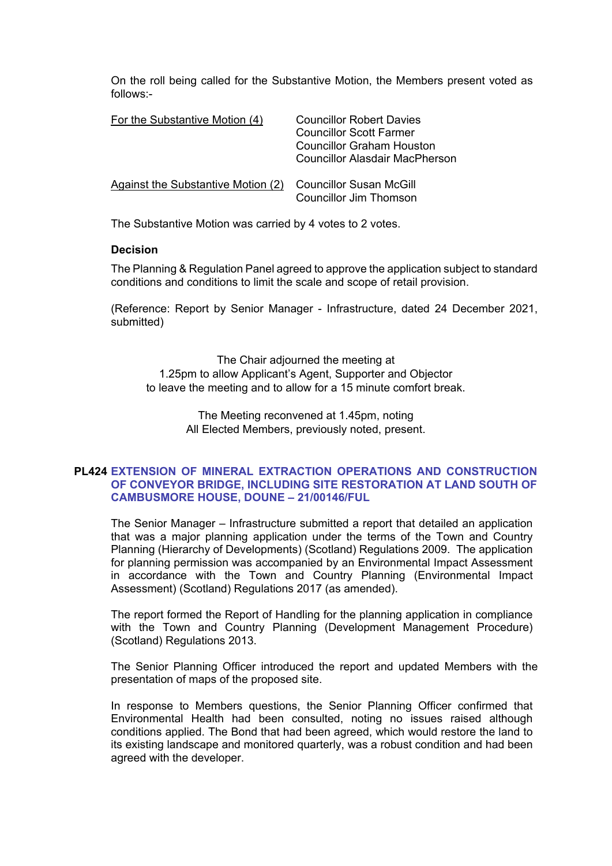On the roll being called for the Substantive Motion, the Members present voted as follows:-

| For the Substantive Motion (4)     | <b>Councillor Robert Davies</b><br><b>Councillor Scott Farmer</b><br><b>Councillor Graham Houston</b><br><b>Councillor Alasdair MacPherson</b> |
|------------------------------------|------------------------------------------------------------------------------------------------------------------------------------------------|
| Against the Substantive Motion (2) | Councillor Susan McGill<br><b>Councillor Jim Thomson</b>                                                                                       |

The Substantive Motion was carried by 4 votes to 2 votes.

### **Decision**

The Planning & Regulation Panel agreed to approve the application subject to standard conditions and conditions to limit the scale and scope of retail provision.

(Reference: Report by Senior Manager - Infrastructure, dated 24 December 2021, submitted)

The Chair adjourned the meeting at 1.25pm to allow Applicant's Agent, Supporter and Objector to leave the meeting and to allow for a 15 minute comfort break.

> The Meeting reconvened at 1.45pm, noting All Elected Members, previously noted, present.

# **PL424 EXTENSION OF MINERAL EXTRACTION OPERATIONS AND CONSTRUCTION OF CONVEYOR BRIDGE, INCLUDING SITE RESTORATION AT LAND SOUTH OF CAMBUSMORE HOUSE, DOUNE – 21/00146/FUL**

The Senior Manager – Infrastructure submitted a report that detailed an application that was a major planning application under the terms of the Town and Country Planning (Hierarchy of Developments) (Scotland) Regulations 2009. The application for planning permission was accompanied by an Environmental Impact Assessment in accordance with the Town and Country Planning (Environmental Impact Assessment) (Scotland) Regulations 2017 (as amended).

The report formed the Report of Handling for the planning application in compliance with the Town and Country Planning (Development Management Procedure) (Scotland) Regulations 2013.

The Senior Planning Officer introduced the report and updated Members with the presentation of maps of the proposed site.

In response to Members questions, the Senior Planning Officer confirmed that Environmental Health had been consulted, noting no issues raised although conditions applied. The Bond that had been agreed, which would restore the land to its existing landscape and monitored quarterly, was a robust condition and had been agreed with the developer.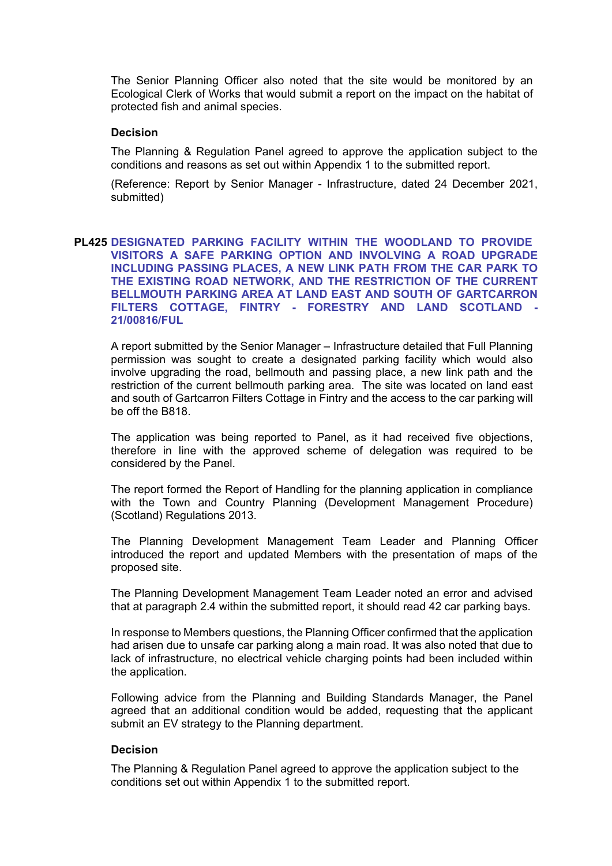The Senior Planning Officer also noted that the site would be monitored by an Ecological Clerk of Works that would submit a report on the impact on the habitat of protected fish and animal species.

# **Decision**

The Planning & Regulation Panel agreed to approve the application subject to the conditions and reasons as set out within Appendix 1 to the submitted report.

(Reference: Report by Senior Manager - Infrastructure, dated 24 December 2021, submitted)

# **PL425 DESIGNATED PARKING FACILITY WITHIN THE WOODLAND TO PROVIDE VISITORS A SAFE PARKING OPTION AND INVOLVING A ROAD UPGRADE INCLUDING PASSING PLACES, A NEW LINK PATH FROM THE CAR PARK TO THE EXISTING ROAD NETWORK, AND THE RESTRICTION OF THE CURRENT BELLMOUTH PARKING AREA AT LAND EAST AND SOUTH OF GARTCARRON FILTERS COTTAGE, FINTRY - FORESTRY AND LAND SCOTLAND - 21/00816/FUL**

A report submitted by the Senior Manager – Infrastructure detailed that Full Planning permission was sought to create a designated parking facility which would also involve upgrading the road, bellmouth and passing place, a new link path and the restriction of the current bellmouth parking area. The site was located on land east and south of Gartcarron Filters Cottage in Fintry and the access to the car parking will be off the B818.

The application was being reported to Panel, as it had received five objections, therefore in line with the approved scheme of delegation was required to be considered by the Panel.

The report formed the Report of Handling for the planning application in compliance with the Town and Country Planning (Development Management Procedure) (Scotland) Regulations 2013.

The Planning Development Management Team Leader and Planning Officer introduced the report and updated Members with the presentation of maps of the proposed site.

The Planning Development Management Team Leader noted an error and advised that at paragraph 2.4 within the submitted report, it should read 42 car parking bays.

In response to Members questions, the Planning Officer confirmed that the application had arisen due to unsafe car parking along a main road. It was also noted that due to lack of infrastructure, no electrical vehicle charging points had been included within the application.

Following advice from the Planning and Building Standards Manager, the Panel agreed that an additional condition would be added, requesting that the applicant submit an EV strategy to the Planning department.

# **Decision**

The Planning & Regulation Panel agreed to approve the application subject to the conditions set out within Appendix 1 to the submitted report.